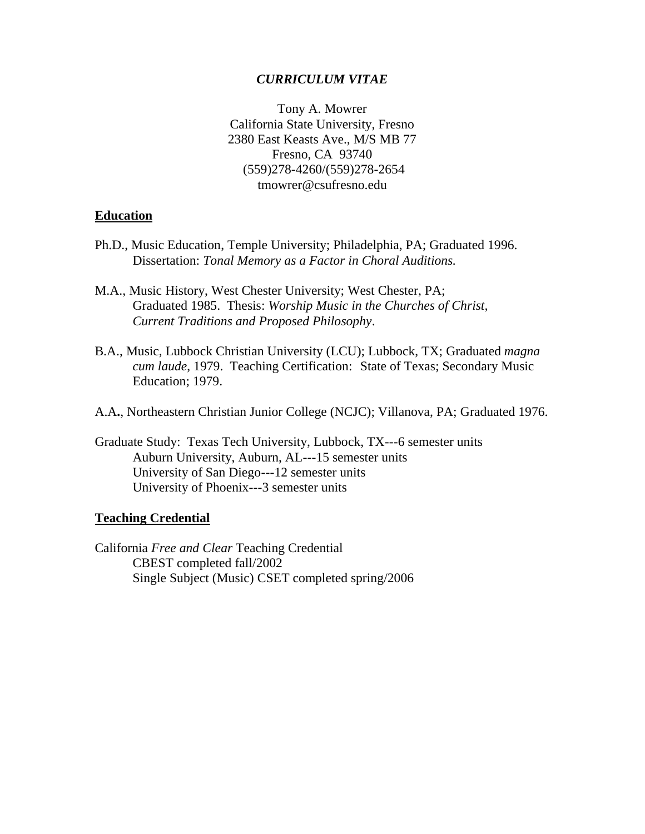### *CURRICULUM VITAE*

Tony A. Mowrer California State University, Fresno 2380 East Keasts Ave., M/S MB 77 Fresno, CA 93740 (559)278-4260/(559)278-2654 tmowrer@csufresno.edu

### **Education**

- Ph.D., Music Education, Temple University; Philadelphia, PA; Graduated 1996. Dissertation: *Tonal Memory as a Factor in Choral Auditions.*
- M.A., Music History, West Chester University; West Chester, PA; Graduated 1985. Thesis: *Worship Music in the Churches of Christ, Current Traditions and Proposed Philosophy*.
- B.A., Music, Lubbock Christian University (LCU); Lubbock, TX; Graduated *magna cum laude*, 1979. Teaching Certification: State of Texas; Secondary Music Education; 1979.
- A.A**.**, Northeastern Christian Junior College (NCJC); Villanova, PA; Graduated 1976.
- Graduate Study: Texas Tech University, Lubbock, TX---6 semester units Auburn University, Auburn, AL---15 semester units University of San Diego---12 semester units University of Phoenix---3 semester units

#### **Teaching Credential**

California *Free and Clear* Teaching Credential CBEST completed fall/2002 Single Subject (Music) CSET completed spring/2006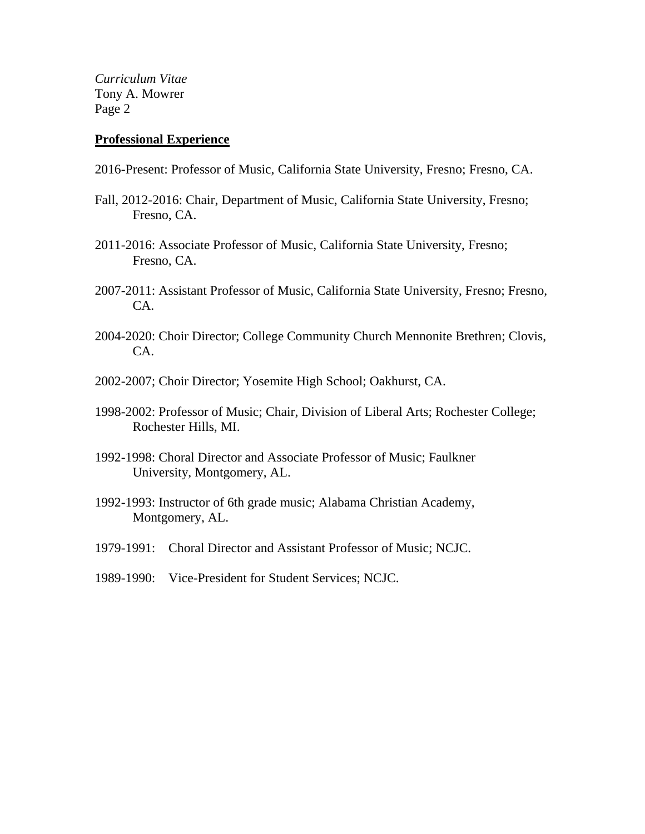#### **Professional Experience**

- 2016-Present: Professor of Music, California State University, Fresno; Fresno, CA.
- Fall, 2012-2016: Chair, Department of Music, California State University, Fresno; Fresno, CA.
- 2011-2016: Associate Professor of Music, California State University, Fresno; Fresno, CA.
- 2007-2011: Assistant Professor of Music, California State University, Fresno; Fresno, CA.
- 2004-2020: Choir Director; College Community Church Mennonite Brethren; Clovis, CA.
- 2002-2007; Choir Director; Yosemite High School; Oakhurst, CA.
- 1998-2002: Professor of Music; Chair, Division of Liberal Arts; Rochester College; Rochester Hills, MI.
- 1992-1998: Choral Director and Associate Professor of Music; Faulkner University, Montgomery, AL.
- 1992-1993: Instructor of 6th grade music; Alabama Christian Academy, Montgomery, AL.
- 1979-1991: Choral Director and Assistant Professor of Music; NCJC.
- 1989-1990: Vice-President for Student Services; NCJC.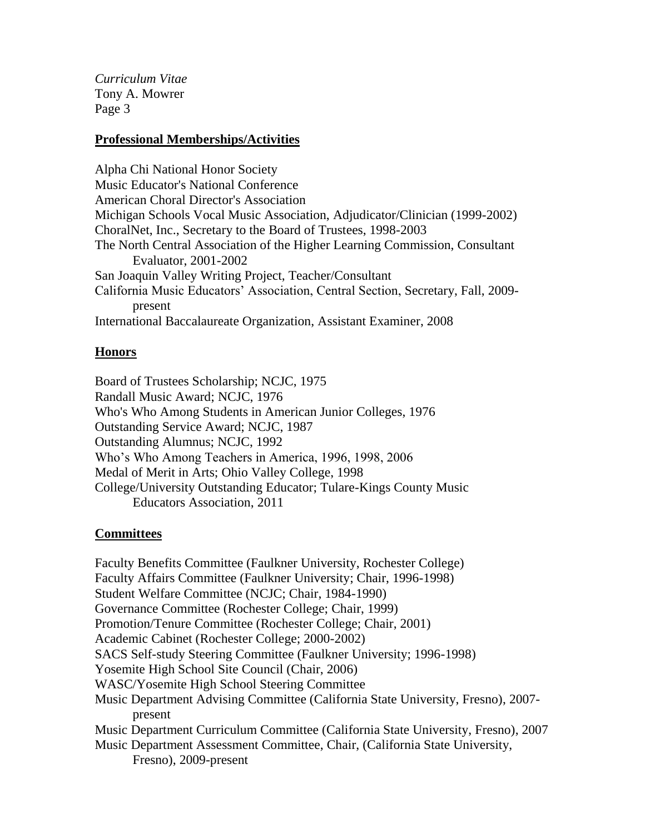## **Professional Memberships/Activities**

Alpha Chi National Honor Society Music Educator's National Conference American Choral Director's Association Michigan Schools Vocal Music Association, Adjudicator/Clinician (1999-2002) ChoralNet, Inc., Secretary to the Board of Trustees, 1998-2003 The North Central Association of the Higher Learning Commission, Consultant Evaluator, 2001-2002 San Joaquin Valley Writing Project, Teacher/Consultant California Music Educators' Association, Central Section, Secretary, Fall, 2009 present International Baccalaureate Organization, Assistant Examiner, 2008

## **Honors**

Board of Trustees Scholarship; NCJC, 1975 Randall Music Award; NCJC, 1976 Who's Who Among Students in American Junior Colleges, 1976 Outstanding Service Award; NCJC, 1987 Outstanding Alumnus; NCJC, 1992 Who's Who Among Teachers in America, 1996, 1998, 2006 Medal of Merit in Arts; Ohio Valley College, 1998 College/University Outstanding Educator; Tulare-Kings County Music Educators Association, 2011

### **Committees**

Faculty Benefits Committee (Faulkner University, Rochester College) Faculty Affairs Committee (Faulkner University; Chair, 1996-1998) Student Welfare Committee (NCJC; Chair, 1984-1990) Governance Committee (Rochester College; Chair, 1999) Promotion/Tenure Committee (Rochester College; Chair, 2001) Academic Cabinet (Rochester College; 2000-2002) SACS Self-study Steering Committee (Faulkner University; 1996-1998) Yosemite High School Site Council (Chair, 2006) WASC/Yosemite High School Steering Committee Music Department Advising Committee (California State University, Fresno), 2007 present Music Department Curriculum Committee (California State University, Fresno), 2007 Music Department Assessment Committee, Chair, (California State University, Fresno), 2009-present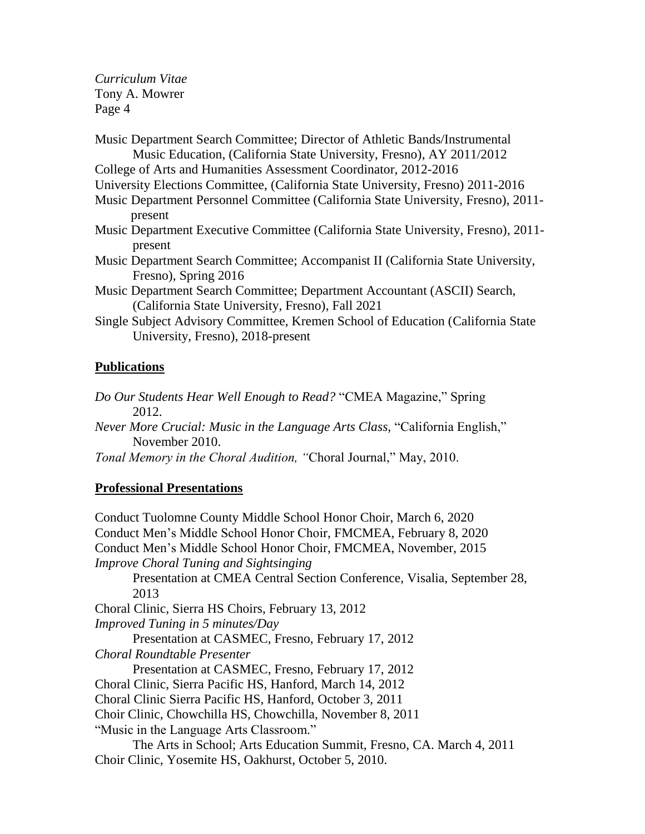Music Department Search Committee; Director of Athletic Bands/Instrumental Music Education, (California State University, Fresno), AY 2011/2012 College of Arts and Humanities Assessment Coordinator, 2012-2016 University Elections Committee, (California State University, Fresno) 2011-2016 Music Department Personnel Committee (California State University, Fresno), 2011 present Music Department Executive Committee (California State University, Fresno), 2011 present Music Department Search Committee; Accompanist II (California State University, Fresno), Spring 2016 Music Department Search Committee; Department Accountant (ASCII) Search, (California State University, Fresno), Fall 2021 Single Subject Advisory Committee, Kremen School of Education (California State University, Fresno), 2018-present

# **Publications**

*Do Our Students Hear Well Enough to Read?* "CMEA Magazine," Spring 2012.

*Never More Crucial: Music in the Language Arts Class,* "California English," November 2010.

*Tonal Memory in the Choral Audition, "*Choral Journal," May, 2010.

# **Professional Presentations**

Conduct Tuolomne County Middle School Honor Choir, March 6, 2020 Conduct Men's Middle School Honor Choir, FMCMEA, February 8, 2020 Conduct Men's Middle School Honor Choir, FMCMEA, November, 2015 *Improve Choral Tuning and Sightsinging* Presentation at CMEA Central Section Conference, Visalia, September 28, 2013 Choral Clinic, Sierra HS Choirs, February 13, 2012 *Improved Tuning in 5 minutes/Day* Presentation at CASMEC, Fresno, February 17, 2012 *Choral Roundtable Presenter* Presentation at CASMEC, Fresno, February 17, 2012 Choral Clinic, Sierra Pacific HS, Hanford, March 14, 2012 Choral Clinic Sierra Pacific HS, Hanford, October 3, 2011 Choir Clinic, Chowchilla HS, Chowchilla, November 8, 2011 "Music in the Language Arts Classroom." The Arts in School; Arts Education Summit, Fresno, CA. March 4, 2011 Choir Clinic, Yosemite HS, Oakhurst, October 5, 2010.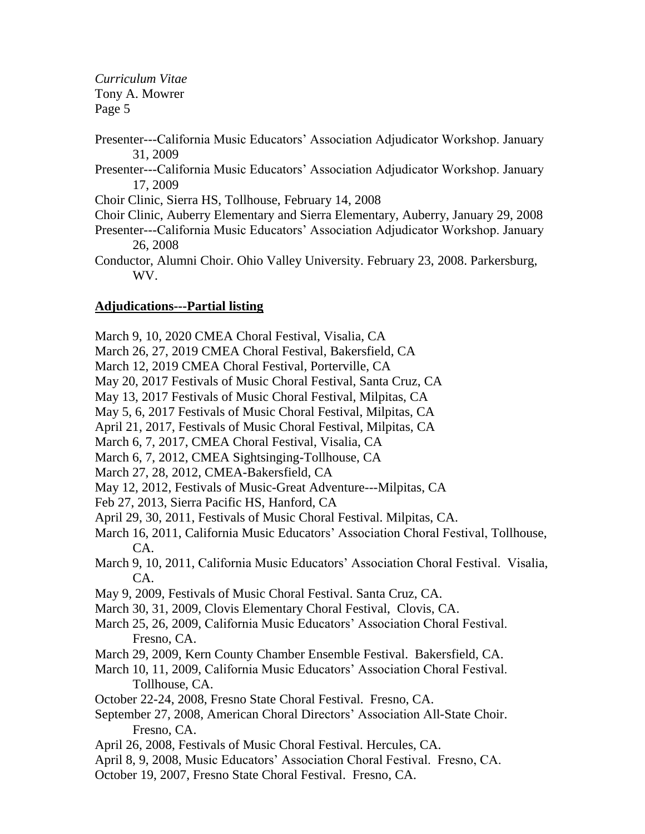- Presenter---California Music Educators' Association Adjudicator Workshop. January 31, 2009
- Presenter---California Music Educators' Association Adjudicator Workshop. January 17, 2009

Choir Clinic, Sierra HS, Tollhouse, February 14, 2008

- Choir Clinic, Auberry Elementary and Sierra Elementary, Auberry, January 29, 2008
- Presenter---California Music Educators' Association Adjudicator Workshop. January 26, 2008
- Conductor, Alumni Choir. Ohio Valley University. February 23, 2008. Parkersburg, WV.

# **Adjudications---Partial listing**

March 9, 10, 2020 CMEA Choral Festival, Visalia, CA

- March 26, 27, 2019 CMEA Choral Festival, Bakersfield, CA
- March 12, 2019 CMEA Choral Festival, Porterville, CA

May 20, 2017 Festivals of Music Choral Festival, Santa Cruz, CA

May 13, 2017 Festivals of Music Choral Festival, Milpitas, CA

May 5, 6, 2017 Festivals of Music Choral Festival, Milpitas, CA

- April 21, 2017, Festivals of Music Choral Festival, Milpitas, CA
- March 6, 7, 2017, CMEA Choral Festival, Visalia, CA
- March 6, 7, 2012, CMEA Sightsinging-Tollhouse, CA
- March 27, 28, 2012, CMEA-Bakersfield, CA
- May 12, 2012, Festivals of Music-Great Adventure---Milpitas, CA
- Feb 27, 2013, Sierra Pacific HS, Hanford, CA
- April 29, 30, 2011, Festivals of Music Choral Festival. Milpitas, CA.
- March 16, 2011, California Music Educators' Association Choral Festival, Tollhouse, CA.
- March 9, 10, 2011, California Music Educators' Association Choral Festival. Visalia, CA.
- May 9, 2009, Festivals of Music Choral Festival. Santa Cruz, CA.
- March 30, 31, 2009, Clovis Elementary Choral Festival, Clovis, CA.
- March 25, 26, 2009, California Music Educators' Association Choral Festival. Fresno, CA.
- March 29, 2009, Kern County Chamber Ensemble Festival. Bakersfield, CA.
- March 10, 11, 2009, California Music Educators' Association Choral Festival. Tollhouse, CA.
- October 22-24, 2008, Fresno State Choral Festival. Fresno, CA.
- September 27, 2008, American Choral Directors' Association All-State Choir. Fresno, CA.
- April 26, 2008, Festivals of Music Choral Festival. Hercules, CA.
- April 8, 9, 2008, Music Educators' Association Choral Festival. Fresno, CA.
- October 19, 2007, Fresno State Choral Festival. Fresno, CA.